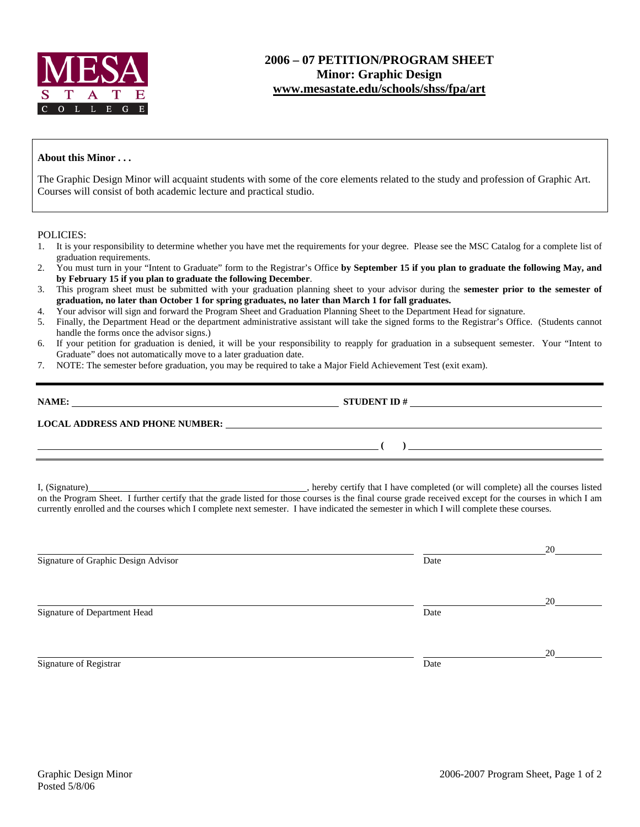

## **2006 – 07 PETITION/PROGRAM SHEET Minor: Graphic Design [www.mesastate.edu/schools/shss/fpa/art](http://www.mesastate.edu/schools/shss/fpa/art)**

## **About this Minor . . .**

The Graphic Design Minor will acquaint students with some of the core elements related to the study and profession of Graphic Art. Courses will consist of both academic lecture and practical studio.

## POLICIES:

- 1. It is your responsibility to determine whether you have met the requirements for your degree. Please see the MSC Catalog for a complete list of graduation requirements.
- 2. You must turn in your "Intent to Graduate" form to the Registrar's Office **by September 15 if you plan to graduate the following May, and by February 15 if you plan to graduate the following December**.
- 3. This program sheet must be submitted with your graduation planning sheet to your advisor during the **semester prior to the semester of graduation, no later than October 1 for spring graduates, no later than March 1 for fall graduates.**
- 4. Your advisor will sign and forward the Program Sheet and Graduation Planning Sheet to the Department Head for signature.
- 5. Finally, the Department Head or the department administrative assistant will take the signed forms to the Registrar's Office. (Students cannot handle the forms once the advisor signs.)
- 6. If your petition for graduation is denied, it will be your responsibility to reapply for graduation in a subsequent semester. Your "Intent to Graduate" does not automatically move to a later graduation date.
- 7. NOTE: The semester before graduation, you may be required to take a Major Field Achievement Test (exit exam).

| NAME:                                  | <b>STUDENT ID#</b> |  |  |  |
|----------------------------------------|--------------------|--|--|--|
| <b>LOCAL ADDRESS AND PHONE NUMBER:</b> |                    |  |  |  |
|                                        |                    |  |  |  |

I, (Signature) , hereby certify that I have completed (or will complete) all the courses listed on the Program Sheet. I further certify that the grade listed for those courses is the final course grade received except for the courses in which I am currently enrolled and the courses which I complete next semester. I have indicated the semester in which I will complete these courses.

|                                     |      | 20 |
|-------------------------------------|------|----|
| Signature of Graphic Design Advisor | Date |    |
|                                     |      |    |
|                                     |      | 20 |
| Signature of Department Head        | Date |    |
|                                     |      |    |
|                                     |      | 20 |
| Signature of Registrar              | Date |    |
|                                     |      |    |